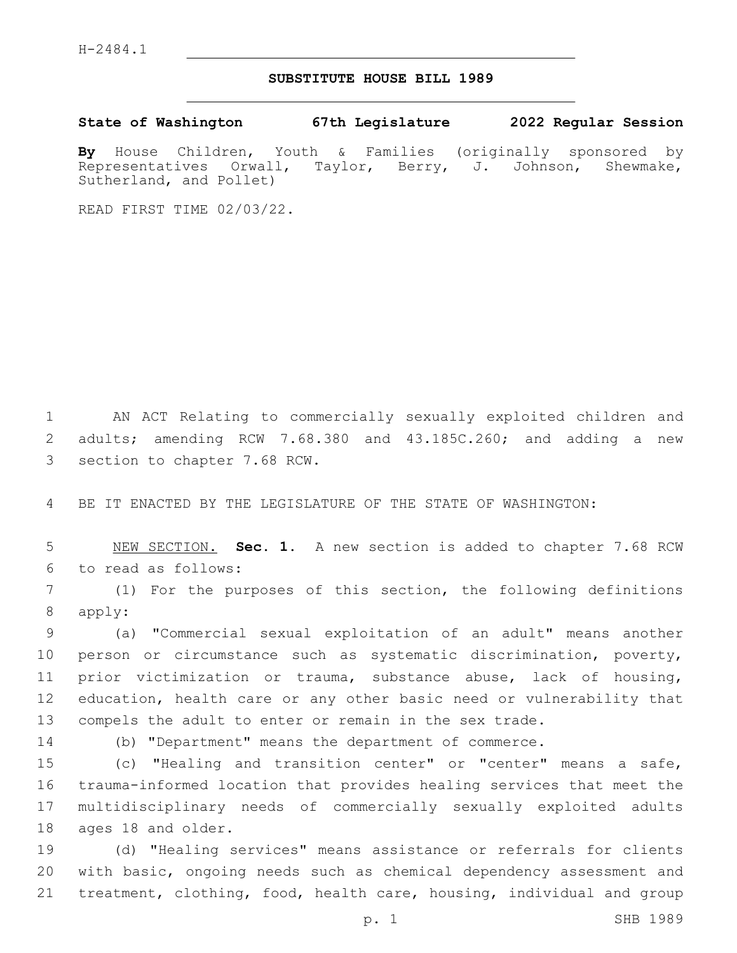H-2484.1

## **SUBSTITUTE HOUSE BILL 1989**

**State of Washington 67th Legislature 2022 Regular Session**

**By** House Children, Youth & Families (originally sponsored by Representatives Orwall, Taylor, Berry, J. Johnson, Shewmake, Sutherland, and Pollet)

READ FIRST TIME 02/03/22.

1 AN ACT Relating to commercially sexually exploited children and 2 adults; amending RCW 7.68.380 and 43.185C.260; and adding a new 3 section to chapter 7.68 RCW.

4 BE IT ENACTED BY THE LEGISLATURE OF THE STATE OF WASHINGTON:

5 NEW SECTION. **Sec. 1.** A new section is added to chapter 7.68 RCW 6 to read as follows:

7 (1) For the purposes of this section, the following definitions 8 apply:

 (a) "Commercial sexual exploitation of an adult" means another person or circumstance such as systematic discrimination, poverty, prior victimization or trauma, substance abuse, lack of housing, education, health care or any other basic need or vulnerability that compels the adult to enter or remain in the sex trade.

14 (b) "Department" means the department of commerce.

 (c) "Healing and transition center" or "center" means a safe, trauma-informed location that provides healing services that meet the multidisciplinary needs of commercially sexually exploited adults 18 ages 18 and older.

19 (d) "Healing services" means assistance or referrals for clients 20 with basic, ongoing needs such as chemical dependency assessment and 21 treatment, clothing, food, health care, housing, individual and group

p. 1 SHB 1989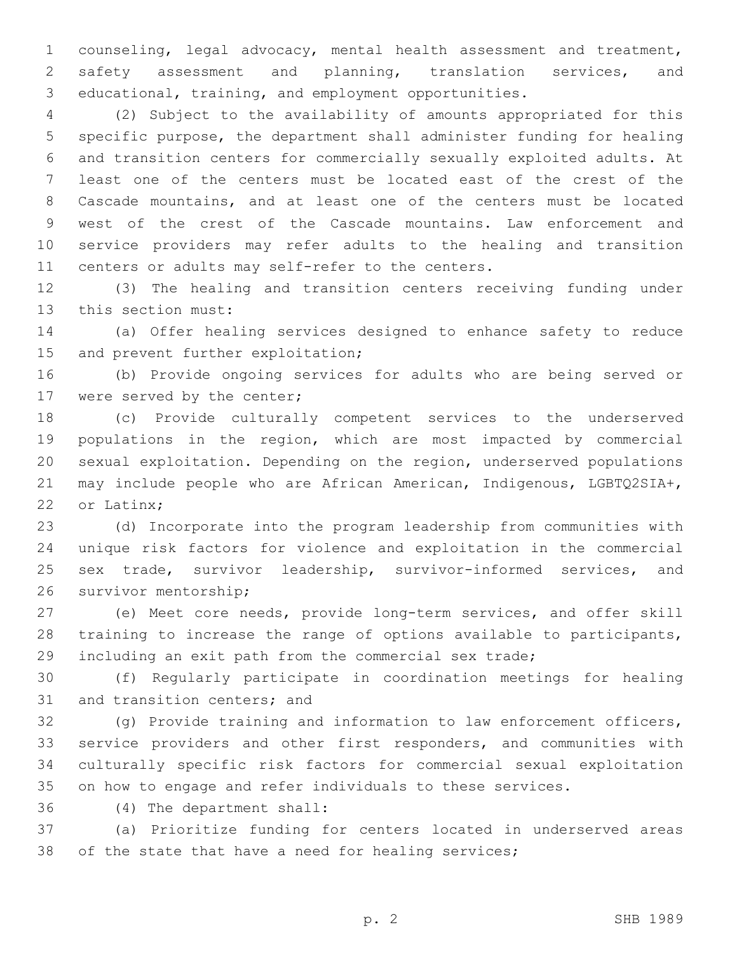counseling, legal advocacy, mental health assessment and treatment, safety assessment and planning, translation services, and educational, training, and employment opportunities.

 (2) Subject to the availability of amounts appropriated for this specific purpose, the department shall administer funding for healing and transition centers for commercially sexually exploited adults. At least one of the centers must be located east of the crest of the Cascade mountains, and at least one of the centers must be located west of the crest of the Cascade mountains. Law enforcement and service providers may refer adults to the healing and transition 11 centers or adults may self-refer to the centers.

 (3) The healing and transition centers receiving funding under 13 this section must:

 (a) Offer healing services designed to enhance safety to reduce 15 and prevent further exploitation;

 (b) Provide ongoing services for adults who are being served or 17 were served by the center;

 (c) Provide culturally competent services to the underserved populations in the region, which are most impacted by commercial sexual exploitation. Depending on the region, underserved populations may include people who are African American, Indigenous, LGBTQ2SIA+, 22 or Latinx:

 (d) Incorporate into the program leadership from communities with unique risk factors for violence and exploitation in the commercial sex trade, survivor leadership, survivor-informed services, and 26 survivor mentorship;

 (e) Meet core needs, provide long-term services, and offer skill training to increase the range of options available to participants, including an exit path from the commercial sex trade;

 (f) Regularly participate in coordination meetings for healing 31 and transition centers; and

 (g) Provide training and information to law enforcement officers, service providers and other first responders, and communities with culturally specific risk factors for commercial sexual exploitation on how to engage and refer individuals to these services.

(4) The department shall:36

 (a) Prioritize funding for centers located in underserved areas 38 of the state that have a need for healing services;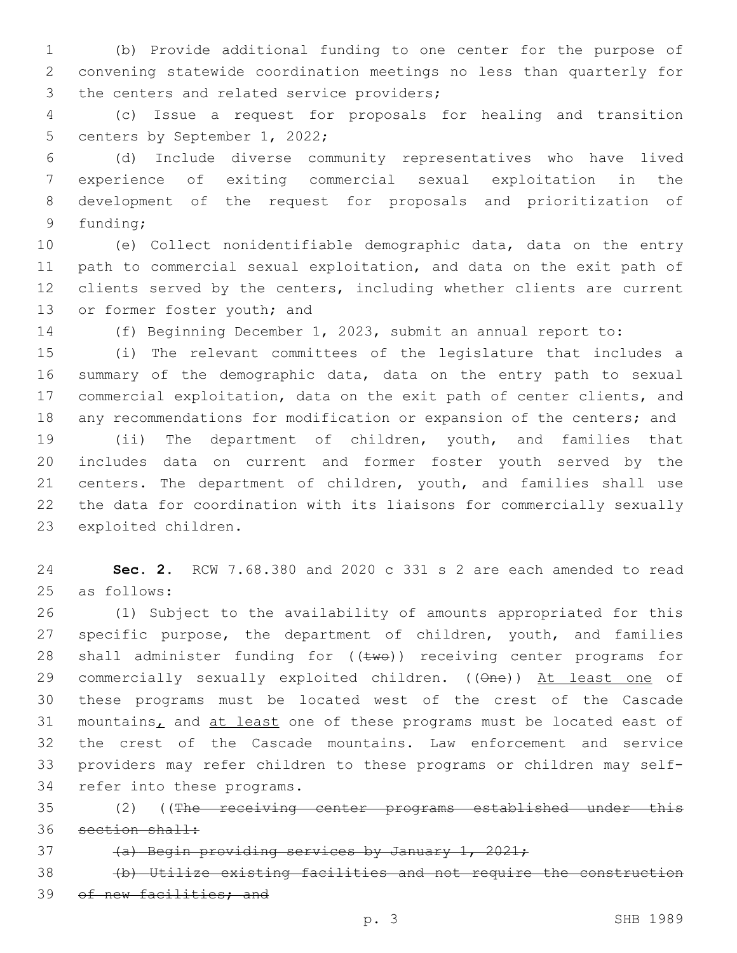1 (b) Provide additional funding to one center for the purpose of 2 convening statewide coordination meetings no less than quarterly for 3 the centers and related service providers;

4 (c) Issue a request for proposals for healing and transition 5 centers by September 1, 2022;

 (d) Include diverse community representatives who have lived experience of exiting commercial sexual exploitation in the development of the request for proposals and prioritization of 9 funding;

10 (e) Collect nonidentifiable demographic data, data on the entry 11 path to commercial sexual exploitation, and data on the exit path of 12 clients served by the centers, including whether clients are current 13 or former foster youth; and

14 (f) Beginning December 1, 2023, submit an annual report to:

 (i) The relevant committees of the legislature that includes a summary of the demographic data, data on the entry path to sexual commercial exploitation, data on the exit path of center clients, and 18 any recommendations for modification or expansion of the centers; and

19 (ii) The department of children, youth, and families that 20 includes data on current and former foster youth served by the 21 centers. The department of children, youth, and families shall use 22 the data for coordination with its liaisons for commercially sexually 23 exploited children.

24 **Sec. 2.** RCW 7.68.380 and 2020 c 331 s 2 are each amended to read 25 as follows:

26 (1) Subject to the availability of amounts appropriated for this 27 specific purpose, the department of children, youth, and families 28 shall administer funding for  $((\text{two}))$  receiving center programs for 29 commercially sexually exploited children. ((One)) At least one of 30 these programs must be located west of the crest of the Cascade 31 mountains, and at least one of these programs must be located east of 32 the crest of the Cascade mountains. Law enforcement and service 33 providers may refer children to these programs or children may self-34 refer into these programs.

35 (2) ((The receiving center programs established under this 36 section shall:

37 (a) Begin providing services by January 1, 2021;

38 (b) Utilize existing facilities and not require the construction 39 of new facilities; and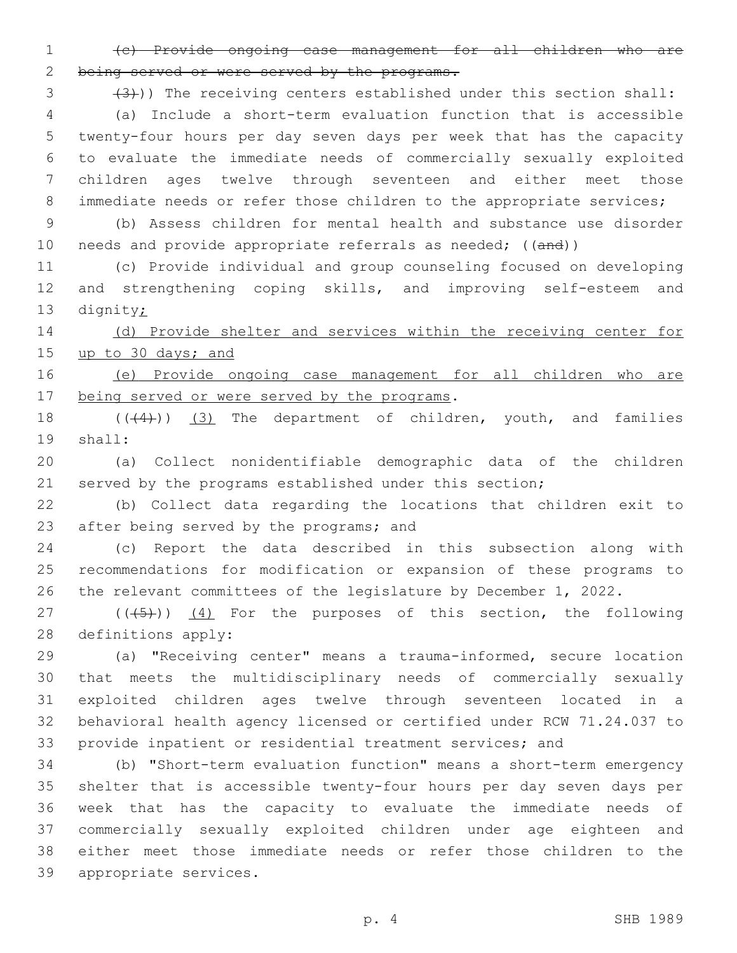(c) Provide ongoing case management for all children who are being served or were served by the programs.

3 (3))) The receiving centers established under this section shall: (a) Include a short-term evaluation function that is accessible twenty-four hours per day seven days per week that has the capacity to evaluate the immediate needs of commercially sexually exploited children ages twelve through seventeen and either meet those 8 immediate needs or refer those children to the appropriate services;

 (b) Assess children for mental health and substance use disorder 10 needs and provide appropriate referrals as needed; ((and))

 (c) Provide individual and group counseling focused on developing and strengthening coping skills, and improving self-esteem and 13 dignity;

14 (d) Provide shelter and services within the receiving center for up to 30 days; and

 (e) Provide ongoing case management for all children who are 17 being served or were served by the programs.

18 (((4))) (3) The department of children, youth, and families 19 shall:

 (a) Collect nonidentifiable demographic data of the children served by the programs established under this section;

 (b) Collect data regarding the locations that children exit to 23 after being served by the programs; and

 (c) Report the data described in this subsection along with recommendations for modification or expansion of these programs to the relevant committees of the legislature by December 1, 2022.

 ( $(\overline{(+5+})$ )  $(4)$  For the purposes of this section, the following 28 definitions apply:

 (a) "Receiving center" means a trauma-informed, secure location that meets the multidisciplinary needs of commercially sexually exploited children ages twelve through seventeen located in a behavioral health agency licensed or certified under RCW 71.24.037 to provide inpatient or residential treatment services; and

 (b) "Short-term evaluation function" means a short-term emergency shelter that is accessible twenty-four hours per day seven days per week that has the capacity to evaluate the immediate needs of commercially sexually exploited children under age eighteen and either meet those immediate needs or refer those children to the 39 appropriate services.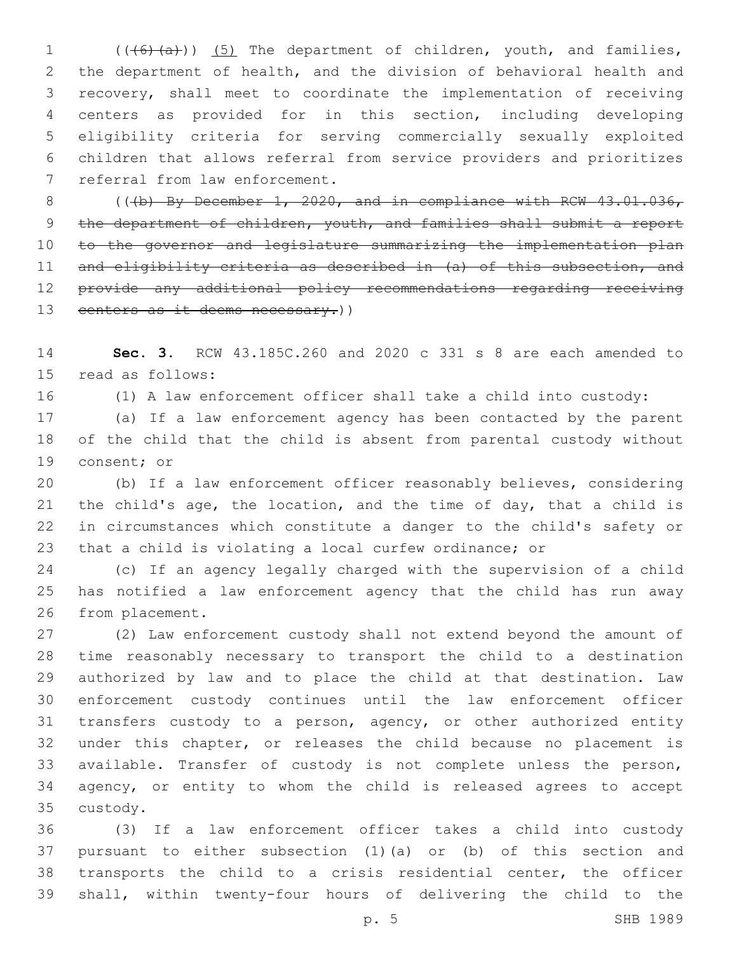1 (((6)(a))) (5) The department of children, youth, and families, the department of health, and the division of behavioral health and recovery, shall meet to coordinate the implementation of receiving centers as provided for in this section, including developing eligibility criteria for serving commercially sexually exploited children that allows referral from service providers and prioritizes 7 referral from law enforcement.

8 (( $(b)$  By December 1, 2020, and in compliance with RCW 43.01.036, 9 the department of children, youth, and families shall submit a report to the governor and legislature summarizing the implementation plan and eligibility criteria as described in (a) of this subsection, and provide any additional policy recommendations regarding receiving 13 centers as it deems necessary.)

 **Sec. 3.** RCW 43.185C.260 and 2020 c 331 s 8 are each amended to 15 read as follows:

(1) A law enforcement officer shall take a child into custody:

 (a) If a law enforcement agency has been contacted by the parent of the child that the child is absent from parental custody without 19 consent; or

 (b) If a law enforcement officer reasonably believes, considering the child's age, the location, and the time of day, that a child is in circumstances which constitute a danger to the child's safety or that a child is violating a local curfew ordinance; or

 (c) If an agency legally charged with the supervision of a child has notified a law enforcement agency that the child has run away 26 from placement.

 (2) Law enforcement custody shall not extend beyond the amount of time reasonably necessary to transport the child to a destination authorized by law and to place the child at that destination. Law enforcement custody continues until the law enforcement officer transfers custody to a person, agency, or other authorized entity under this chapter, or releases the child because no placement is available. Transfer of custody is not complete unless the person, agency, or entity to whom the child is released agrees to accept 35 custody.

 (3) If a law enforcement officer takes a child into custody pursuant to either subsection (1)(a) or (b) of this section and transports the child to a crisis residential center, the officer shall, within twenty-four hours of delivering the child to the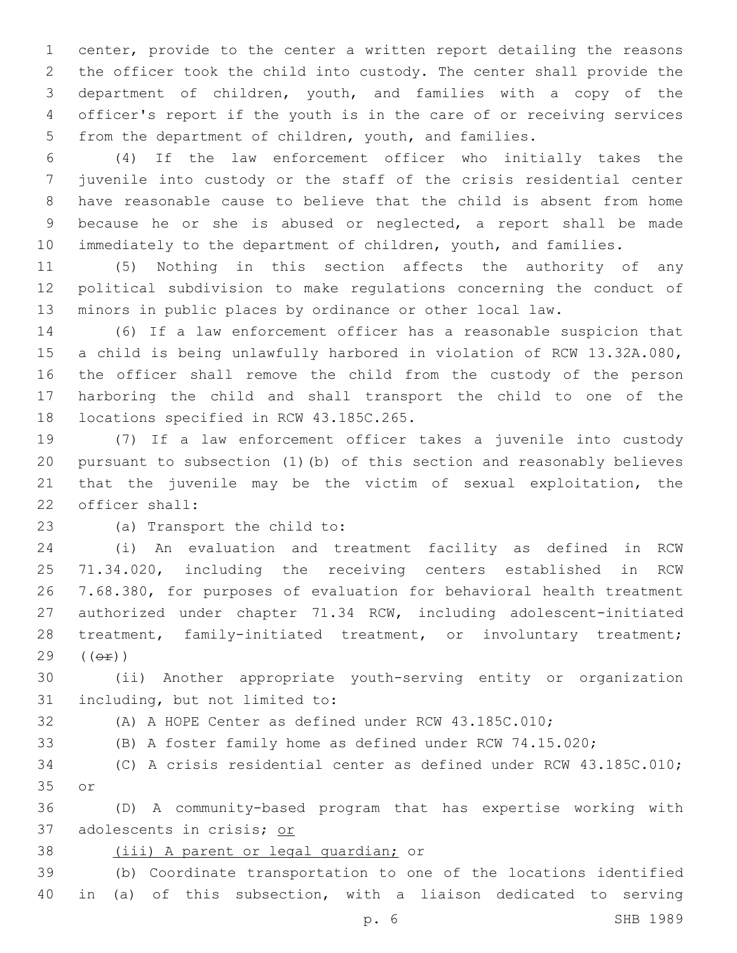center, provide to the center a written report detailing the reasons the officer took the child into custody. The center shall provide the department of children, youth, and families with a copy of the officer's report if the youth is in the care of or receiving services from the department of children, youth, and families.

 (4) If the law enforcement officer who initially takes the juvenile into custody or the staff of the crisis residential center have reasonable cause to believe that the child is absent from home because he or she is abused or neglected, a report shall be made 10 immediately to the department of children, youth, and families.

 (5) Nothing in this section affects the authority of any political subdivision to make regulations concerning the conduct of minors in public places by ordinance or other local law.

 (6) If a law enforcement officer has a reasonable suspicion that a child is being unlawfully harbored in violation of RCW 13.32A.080, the officer shall remove the child from the custody of the person harboring the child and shall transport the child to one of the 18 locations specified in RCW 43.185C.265.

 (7) If a law enforcement officer takes a juvenile into custody pursuant to subsection (1)(b) of this section and reasonably believes that the juvenile may be the victim of sexual exploitation, the 22 officer shall:

23 (a) Transport the child to:

 (i) An evaluation and treatment facility as defined in RCW 71.34.020, including the receiving centers established in RCW 7.68.380, for purposes of evaluation for behavioral health treatment authorized under chapter 71.34 RCW, including adolescent-initiated 28 treatment, family-initiated treatment, or involuntary treatment;  $29 (6E)$ 

 (ii) Another appropriate youth-serving entity or organization 31 including, but not limited to:

(A) A HOPE Center as defined under RCW 43.185C.010;

(B) A foster family home as defined under RCW 74.15.020;

 (C) A crisis residential center as defined under RCW 43.185C.010; 35 or

 (D) A community-based program that has expertise working with adolescents in crisis; or

38 (iii) A parent or legal guardian; or

 (b) Coordinate transportation to one of the locations identified in (a) of this subsection, with a liaison dedicated to serving